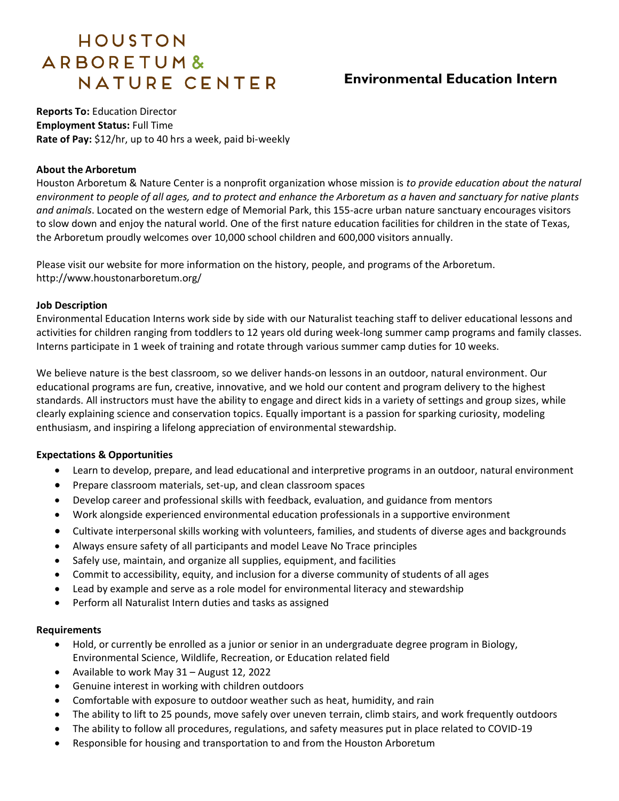# HOUSTON ARBORETUM& NATURE CENTER

# **Environmental Education Intern**

**Reports To:** Education Director **Employment Status:** Full Time **Rate of Pay:** \$12/hr, up to 40 hrs a week, paid bi-weekly

#### **About the Arboretum**

Houston Arboretum & Nature Center is a nonprofit organization whose mission is *to provide education about the natural environment to people of all ages, and to protect and enhance the Arboretum as a haven and sanctuary for native plants and animals*. Located on the western edge of Memorial Park, this 155-acre urban nature sanctuary encourages visitors to slow down and enjoy the natural world. One of the first nature education facilities for children in the state of Texas, the Arboretum proudly welcomes over 10,000 school children and 600,000 visitors annually.

Please visit our website for more information on the history, people, and programs of the Arboretum. http://www.houstonarboretum.org/

#### **Job Description**

Environmental Education Interns work side by side with our Naturalist teaching staff to deliver educational lessons and activities for children ranging from toddlers to 12 years old during week-long summer camp programs and family classes. Interns participate in 1 week of training and rotate through various summer camp duties for 10 weeks.

We believe nature is the best classroom, so we deliver hands-on lessons in an outdoor, natural environment. Our educational programs are fun, creative, innovative, and we hold our content and program delivery to the highest standards. All instructors must have the ability to engage and direct kids in a variety of settings and group sizes, while clearly explaining science and conservation topics. Equally important is a passion for sparking curiosity, modeling enthusiasm, and inspiring a lifelong appreciation of environmental stewardship.

#### **Expectations & Opportunities**

- Learn to develop, prepare, and lead educational and interpretive programs in an outdoor, natural environment
- Prepare classroom materials, set-up, and clean classroom spaces
- Develop career and professional skills with feedback, evaluation, and guidance from mentors
- Work alongside experienced environmental education professionals in a supportive environment
- Cultivate interpersonal skills working with volunteers, families, and students of diverse ages and backgrounds
- Always ensure safety of all participants and model Leave No Trace principles
- Safely use, maintain, and organize all supplies, equipment, and facilities
- Commit to accessibility, equity, and inclusion for a diverse community of students of all ages
- Lead by example and serve as a role model for environmental literacy and stewardship
- Perform all Naturalist Intern duties and tasks as assigned

#### **Requirements**

- Hold, or currently be enrolled as a junior or senior in an undergraduate degree program in Biology, Environmental Science, Wildlife, Recreation, or Education related field
- Available to work May 31 August 12, 2022
- Genuine interest in working with children outdoors
- Comfortable with exposure to outdoor weather such as heat, humidity, and rain
- The ability to lift to 25 pounds, move safely over uneven terrain, climb stairs, and work frequently outdoors
- The ability to follow all procedures, regulations, and safety measures put in place related to COVID-19
- Responsible for housing and transportation to and from the Houston Arboretum